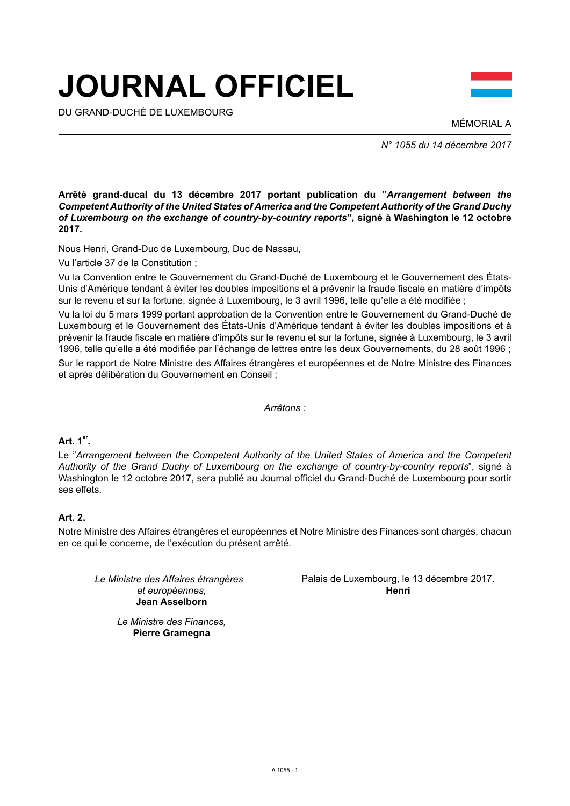# **JOURNAL OFFICIEL**

DU GRAND-DUCHÉ DE LUXEMBOURG



MÉMORIAL A

*N° 1055 du 14 décembre 2017*

**Arrêté grand-ducal du 13 décembre 2017 portant publication du "***Arrangement between the Competent Authority of the United States of America and the Competent Authority of the Grand Duchy of Luxembourg on the exchange of country-by-country reports***", signé à Washington le 12 octobre 2017.**

Nous Henri, Grand-Duc de Luxembourg, Duc de Nassau,

Vu l'article 37 de la Constitution ;

Vu la Convention entre le Gouvernement du Grand-Duché de Luxembourg et le Gouvernement des États-Unis d'Amérique tendant à éviter les doubles impositions et à prévenir la fraude fiscale en matière d'impôts sur le revenu et sur la fortune, signée à Luxembourg, le 3 avril 1996, telle qu'elle a été modifiée ;

Vu la loi du 5 mars 1999 portant approbation de la Convention entre le Gouvernement du Grand-Duché de Luxembourg et le Gouvernement des États-Unis d'Amérique tendant à éviter les doubles impositions et à prévenir la fraude fiscale en matière d'impôts sur le revenu et sur la fortune, signée à Luxembourg, le 3 avril 1996, telle qu'elle a été modifiée par l'échange de lettres entre les deux Gouvernements, du 28 août 1996 ;

Sur le rapport de Notre Ministre des Affaires étrangères et européennes et de Notre Ministre des Finances et après délibération du Gouvernement en Conseil ;

*Arrêtons :*

# **Art. 1er .**

Le "*Arrangement between the Competent Authority of the United States of America and the Competent Authority of the Grand Duchy of Luxembourg on the exchange of country-by-country reports*", signé à Washington le 12 octobre 2017, sera publié au Journal officiel du Grand-Duché de Luxembourg pour sortir ses effets.

# **Art. 2.**

Notre Ministre des Affaires étrangères et européennes et Notre Ministre des Finances sont chargés, chacun en ce qui le concerne, de l'exécution du présent arrêté.

*Le Ministre des Affaires étrangères et européennes,* **Jean Asselborn**

Palais de Luxembourg, le 13 décembre 2017. **Henri**

*Le Ministre des Finances,* **Pierre Gramegna**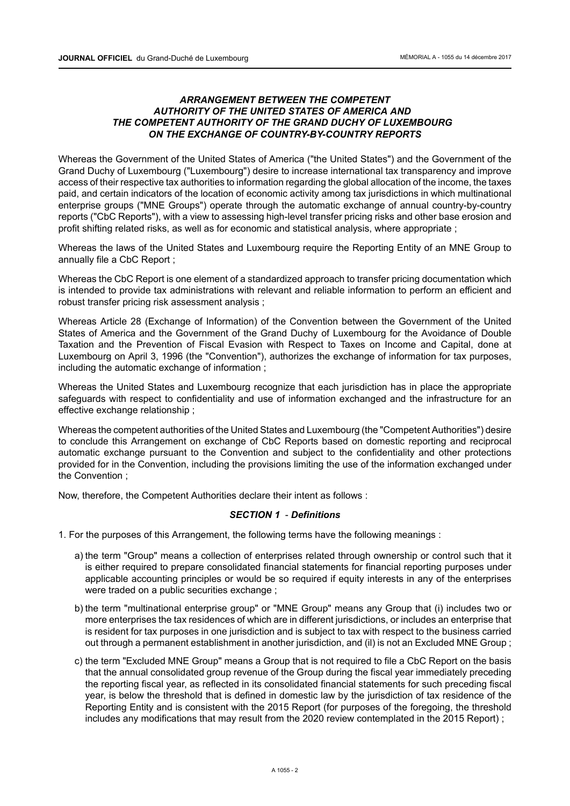# *ARRANGEMENT BETWEEN THE COMPETENT AUTHORITY OF THE UNITED STATES OF AMERICA AND THE COMPETENT AUTHORITY OF THE GRAND DUCHY OF LUXEMBOURG ON THE EXCHANGE OF COUNTRY-BY-COUNTRY REPORTS*

Whereas the Government of the United States of America ("the United States") and the Government of the Grand Duchy of Luxembourg ("Luxembourg") desire to increase international tax transparency and improve access of their respective tax authorities to information regarding the global allocation of the income, the taxes paid, and certain indicators of the location of economic activity among tax jurisdictions in which multinational enterprise groups ("MNE Groups") operate through the automatic exchange of annual country-by-country reports ("CbC Reports"), with a view to assessing high-level transfer pricing risks and other base erosion and profit shifting related risks, as well as for economic and statistical analysis, where appropriate ;

Whereas the laws of the United States and Luxembourg require the Reporting Entity of an MNE Group to annually file a CbC Report ;

Whereas the CbC Report is one element of a standardized approach to transfer pricing documentation which is intended to provide tax administrations with relevant and reliable information to perform an efficient and robust transfer pricing risk assessment analysis ;

Whereas Article 28 (Exchange of Information) of the Convention between the Government of the United States of America and the Government of the Grand Duchy of Luxembourg for the Avoidance of Double Taxation and the Prevention of Fiscal Evasion with Respect to Taxes on Income and Capital, done at Luxembourg on April 3, 1996 (the "Convention"), authorizes the exchange of information for tax purposes, including the automatic exchange of information ;

Whereas the United States and Luxembourg recognize that each jurisdiction has in place the appropriate safeguards with respect to confidentiality and use of information exchanged and the infrastructure for an effective exchange relationship ;

Whereas the competent authorities of the United States and Luxembourg (the "Competent Authorities") desire to conclude this Arrangement on exchange of CbC Reports based on domestic reporting and reciprocal automatic exchange pursuant to the Convention and subject to the confidentiality and other protections provided for in the Convention, including the provisions limiting the use of the information exchanged under the Convention ;

Now, therefore, the Competent Authorities declare their intent as follows :

## *SECTION 1* - *Definitions*

- 1. For the purposes of this Arrangement, the following terms have the following meanings :
	- a) the term "Group" means a collection of enterprises related through ownership or control such that it is either required to prepare consolidated financial statements for financial reporting purposes under applicable accounting principles or would be so required if equity interests in any of the enterprises were traded on a public securities exchange ;
	- b) the term "multinational enterprise group" or "MNE Group" means any Group that (i) includes two or more enterprises the tax residences of which are in different jurisdictions, or includes an enterprise that is resident for tax purposes in one jurisdiction and is subject to tax with respect to the business carried out through a permanent establishment in another jurisdiction, and (il) is not an Excluded MNE Group ;
	- c) the term "Excluded MNE Group" means a Group that is not required to file a CbC Report on the basis that the annual consolidated group revenue of the Group during the fiscal year immediately preceding the reporting fiscal year, as reflected in its consolidated financial statements for such preceding fiscal year, is below the threshold that is defined in domestic law by the jurisdiction of tax residence of the Reporting Entity and is consistent with the 2015 Report (for purposes of the foregoing, the threshold includes any modifications that may result from the 2020 review contemplated in the 2015 Report) ;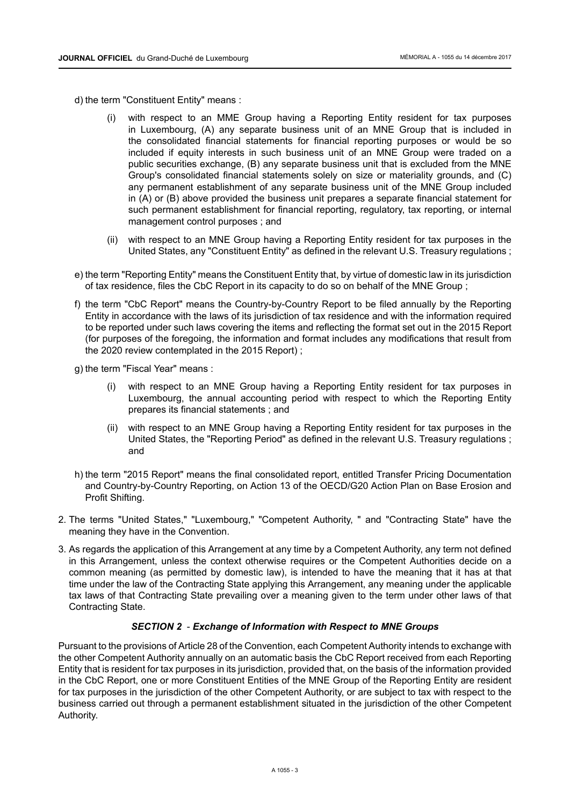- d) the term "Constituent Entity" means :
	- with respect to an MME Group having a Reporting Entity resident for tax purposes in Luxembourg, (A) any separate business unit of an MNE Group that is included in the consolidated financial statements for financial reporting purposes or would be so included if equity interests in such business unit of an MNE Group were traded on a public securities exchange, (B) any separate business unit that is excluded from the MNE Group's consolidated financial statements solely on size or materiality grounds, and (C) any permanent establishment of any separate business unit of the MNE Group included in (A) or (B) above provided the business unit prepares a separate financial statement for such permanent establishment for financial reporting, regulatory, tax reporting, or internal management control purposes ; and
	- (ii) with respect to an MNE Group having a Reporting Entity resident for tax purposes in the United States, any "Constituent Entity" as defined in the relevant U.S. Treasury regulations ;
- e) the term "Reporting Entity" means the Constituent Entity that, by virtue of domestic law in its jurisdiction of tax residence, files the CbC Report in its capacity to do so on behalf of the MNE Group ;
- f) the term "CbC Report" means the Country-by-Country Report to be filed annually by the Reporting Entity in accordance with the laws of its jurisdiction of tax residence and with the information required to be reported under such laws covering the items and reflecting the format set out in the 2015 Report (for purposes of the foregoing, the information and format includes any modifications that result from the 2020 review contemplated in the 2015 Report) ;
- g) the term "Fiscal Year" means :
	- (i) with respect to an MNE Group having a Reporting Entity resident for tax purposes in Luxembourg, the annual accounting period with respect to which the Reporting Entity prepares its financial statements ; and
	- (ii) with respect to an MNE Group having a Reporting Entity resident for tax purposes in the United States, the "Reporting Period" as defined in the relevant U.S. Treasury regulations ; and
- h) the term "2015 Report" means the final consolidated report, entitled Transfer Pricing Documentation and Country-by-Country Reporting, on Action 13 of the OECD/G20 Action Plan on Base Erosion and Profit Shifting.
- 2. The terms "United States," "Luxembourg," "Competent Authority, " and "Contracting State" have the meaning they have in the Convention.
- 3. As regards the application of this Arrangement at any time by a Competent Authority, any term not defined in this Arrangement, unless the context otherwise requires or the Competent Authorities decide on a common meaning (as permitted by domestic law), is intended to have the meaning that it has at that time under the law of the Contracting State applying this Arrangement, any meaning under the applicable tax laws of that Contracting State prevailing over a meaning given to the term under other laws of that Contracting State.

#### *SECTION 2* - *Exchange of Information with Respect to MNE Groups*

Pursuant to the provisions of Article 28 of the Convention, each Competent Authority intends to exchange with the other Competent Authority annually on an automatic basis the CbC Report received from each Reporting Entity that is resident for tax purposes in its jurisdiction, provided that, on the basis of the information provided in the CbC Report, one or more Constituent Entities of the MNE Group of the Reporting Entity are resident for tax purposes in the jurisdiction of the other Competent Authority, or are subject to tax with respect to the business carried out through a permanent establishment situated in the jurisdiction of the other Competent Authority.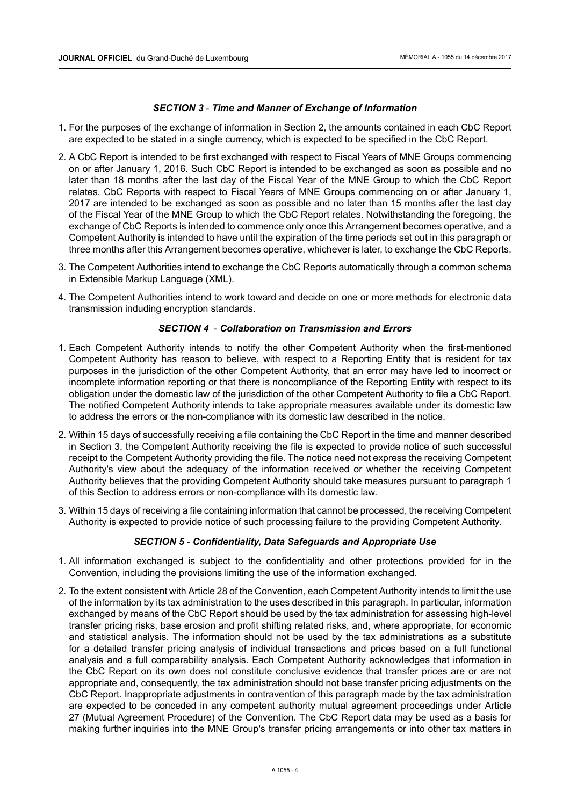## *SECTION 3* - *Time and Manner of Exchange of Information*

- 1. For the purposes of the exchange of information in Section 2, the amounts contained in each CbC Report are expected to be stated in a single currency, which is expected to be specified in the CbC Report.
- 2. A CbC Report is intended to be first exchanged with respect to Fiscal Years of MNE Groups commencing on or after January 1, 2016. Such CbC Report is intended to be exchanged as soon as possible and no later than 18 months after the last day of the Fiscal Year of the MNE Group to which the CbC Report relates. CbC Reports with respect to Fiscal Years of MNE Groups commencing on or after January 1, 2017 are intended to be exchanged as soon as possible and no later than 15 months after the last day of the Fiscal Year of the MNE Group to which the CbC Report relates. Notwithstanding the foregoing, the exchange of CbC Reports is intended to commence only once this Arrangement becomes operative, and a Competent Authority is intended to have until the expiration of the time periods set out in this paragraph or three months after this Arrangement becomes operative, whichever is later, to exchange the CbC Reports.
- 3. The Competent Authorities intend to exchange the CbC Reports automatically through a common schema in Extensible Markup Language (XML).
- 4. The Competent Authorities intend to work toward and decide on one or more methods for electronic data transmission induding encryption standards.

## *SECTION 4* - *Collaboration on Transmission and Errors*

- 1. Each Competent Authority intends to notify the other Competent Authority when the first-mentioned Competent Authority has reason to believe, with respect to a Reporting Entity that is resident for tax purposes in the jurisdiction of the other Competent Authority, that an error may have led to incorrect or incomplete information reporting or that there is noncompliance of the Reporting Entity with respect to its obligation under the domestic law of the jurisdiction of the other Competent Authority to file a CbC Report. The notified Competent Authority intends to take appropriate measures available under its domestic law to address the errors or the non-compliance with its domestic law described in the notice.
- 2. Within 15 days of successfully receiving a file containing the CbC Report in the time and manner described in Section 3, the Competent Authority receiving the file is expected to provide notice of such successful receipt to the Competent Authority providing the file. The notice need not express the receiving Competent Authority's view about the adequacy of the information received or whether the receiving Competent Authority believes that the providing Competent Authority should take measures pursuant to paragraph 1 of this Section to address errors or non-compliance with its domestic law.
- 3. Within 15 days of receiving a file containing information that cannot be processed, the receiving Competent Authority is expected to provide notice of such processing failure to the providing Competent Authority.

## *SECTION 5* - *Confidentiality, Data Safeguards and Appropriate Use*

- 1. All information exchanged is subject to the confidentiality and other protections provided for in the Convention, including the provisions limiting the use of the information exchanged.
- 2. To the extent consistent with Article 28 of the Convention, each Competent Authority intends to limit the use of the information by its tax administration to the uses described in this paragraph. In particular, information exchanged by means of the CbC Report should be used by the tax administration for assessing high-level transfer pricing risks, base erosion and profit shifting related risks, and, where appropriate, for economic and statistical analysis. The information should not be used by the tax administrations as a substitute for a detailed transfer pricing analysis of individual transactions and prices based on a full functional analysis and a full comparability analysis. Each Competent Authority acknowledges that information in the CbC Report on its own does not constitute conclusive evidence that transfer prices are or are not appropriate and, consequently, the tax administration should not base transfer pricing adjustments on the CbC Report. Inappropriate adjustments in contravention of this paragraph made by the tax administration are expected to be conceded in any competent authority mutual agreement proceedings under Article 27 (Mutual Agreement Procedure) of the Convention. The CbC Report data may be used as a basis for making further inquiries into the MNE Group's transfer pricing arrangements or into other tax matters in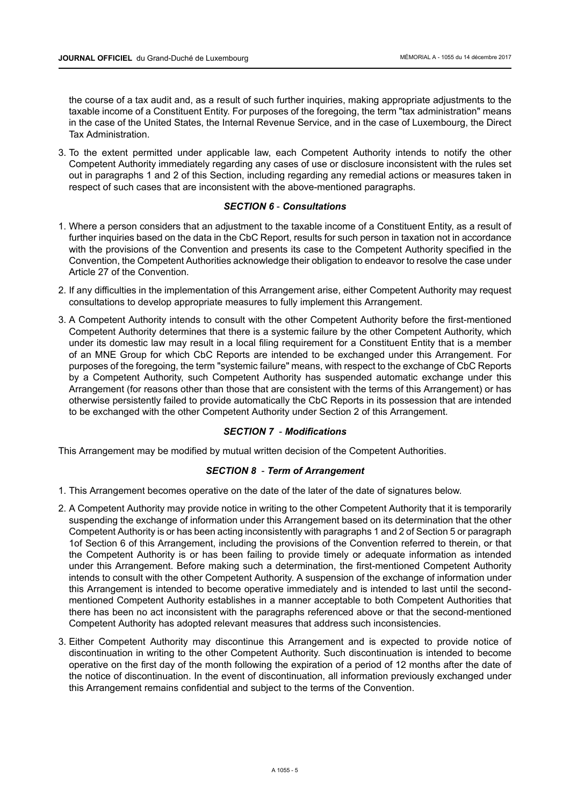the course of a tax audit and, as a result of such further inquiries, making appropriate adjustments to the taxable income of a Constituent Entity. For purposes of the foregoing, the term "tax administration" means in the case of the United States, the Internal Revenue Service, and in the case of Luxembourg, the Direct Tax Administration.

3. To the extent permitted under applicable law, each Competent Authority intends to notify the other Competent Authority immediately regarding any cases of use or disclosure inconsistent with the rules set out in paragraphs 1 and 2 of this Section, including regarding any remedial actions or measures taken in respect of such cases that are inconsistent with the above-mentioned paragraphs.

## *SECTION 6* - *Consultations*

- 1. Where a person considers that an adjustment to the taxable income of a Constituent Entity, as a result of further inquiries based on the data in the CbC Report, results for such person in taxation not in accordance with the provisions of the Convention and presents its case to the Competent Authority specified in the Convention, the Competent Authorities acknowledge their obligation to endeavor to resolve the case under Article 27 of the Convention.
- 2. If any difficulties in the implementation of this Arrangement arise, either Competent Authority may request consultations to develop appropriate measures to fully implement this Arrangement.
- 3. A Competent Authority intends to consult with the other Competent Authority before the first-mentioned Competent Authority determines that there is a systemic failure by the other Competent Authority, which under its domestic law may result in a local filing requirement for a Constituent Entity that is a member of an MNE Group for which CbC Reports are intended to be exchanged under this Arrangement. For purposes of the foregoing, the term "systemic failure" means, with respect to the exchange of CbC Reports by a Competent Authority, such Competent Authority has suspended automatic exchange under this Arrangement (for reasons other than those that are consistent with the terms of this Arrangement) or has otherwise persistently failed to provide automatically the CbC Reports in its possession that are intended to be exchanged with the other Competent Authority under Section 2 of this Arrangement.

# *SECTION 7* - *Modifications*

This Arrangement may be modified by mutual written decision of the Competent Authorities.

# *SECTION 8* - *Term of Arrangement*

- 1. This Arrangement becomes operative on the date of the later of the date of signatures below.
- 2. A Competent Authority may provide notice in writing to the other Competent Authority that it is temporarily suspending the exchange of information under this Arrangement based on its determination that the other Competent Authority is or has been acting inconsistently with paragraphs 1 and 2 of Section 5 or paragraph 1of Section 6 of this Arrangement, including the provisions of the Convention referred to therein, or that the Competent Authority is or has been failing to provide timely or adequate information as intended under this Arrangement. Before making such a determination, the first-mentioned Competent Authority intends to consult with the other Competent Authority. A suspension of the exchange of information under this Arrangement is intended to become operative immediately and is intended to last until the secondmentioned Competent Authority establishes in a manner acceptable to both Competent Authorities that there has been no act inconsistent with the paragraphs referenced above or that the second-mentioned Competent Authority has adopted relevant measures that address such inconsistencies.
- 3. Either Competent Authority may discontinue this Arrangement and is expected to provide notice of discontinuation in writing to the other Competent Authority. Such discontinuation is intended to become operative on the first day of the month following the expiration of a period of 12 months after the date of the notice of discontinuation. In the event of discontinuation, all information previously exchanged under this Arrangement remains confidential and subject to the terms of the Convention.